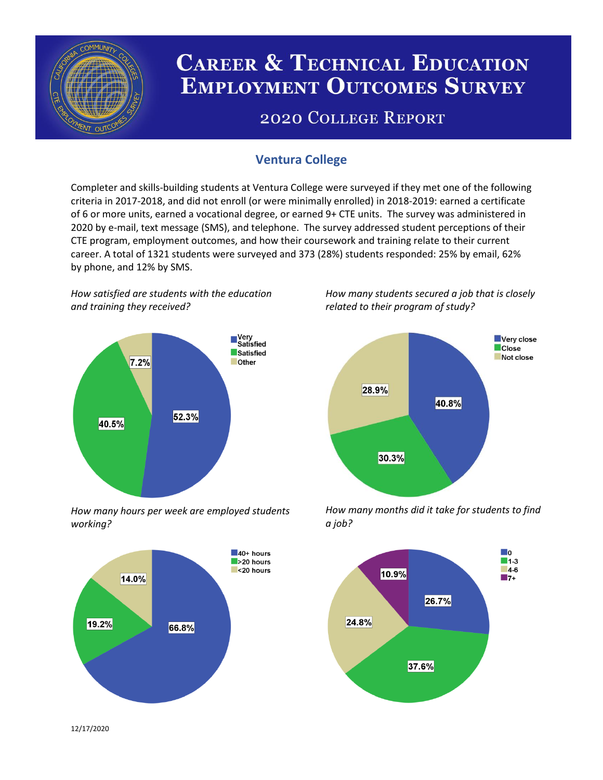

# **CAREER & TECHNICAL EDUCATION EMPLOYMENT OUTCOMES SURVEY**

## **2020 COLLEGE REPORT**

## **Ventura College**

Completer and skills-building students at Ventura College were surveyed if they met one of the following criteria in 2017-2018, and did not enroll (or were minimally enrolled) in 2018-2019: earned a certificate of 6 or more units, earned a vocational degree, or earned 9+ CTE units. The survey was administered in 2020 by e-mail, text message (SMS), and telephone. The survey addressed student perceptions of their CTE program, employment outcomes, and how their coursework and training relate to their current career. A total of 1321 students were surveyed and 373 (28%) students responded: 25% by email, 62% by phone, and 12% by SMS.

*How satisfied are students with the education and training they received?*



*How many hours per week are employed students working?*



*How many students secured a job that is closely related to their program of study?*



*How many months did it take for students to find a job?*



12/17/2020